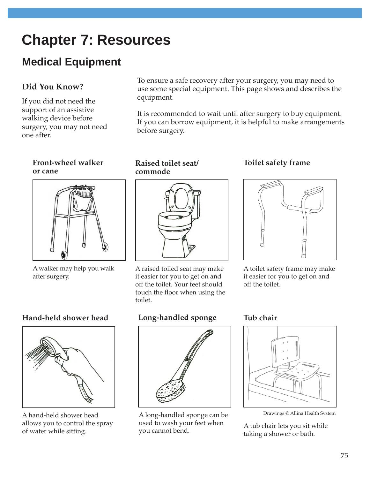# **Chapter 7: Resources**

## **Medical Equipment**

## **Did You Know?**

If you did not need the support of an assistive walking device before surgery, you may not need one after.

## **Front-wheel walker or cane**



A walker may help you walk after surgery.

## **Hand-held shower head**



A hand-held shower head allows you to control the spray of water while sitting.

To ensure a safe recovery after your surgery, you may need to use some special equipment. This page shows and describes the equipment.

It is recommended to wait until after surgery to buy equipment. If you can borrow equipment, it is helpful to make arrangements before surgery.

#### **Raised toilet seat/ commode**



A raised toiled seat may make it easier for you to get on and off the toilet. Your feet should touch the floor when using the toilet.

## **Long-handled sponge**



A long-handled sponge can be Drawings © Allina Health System used to wash your feet when you cannot bend.

## **Toilet safety frame**



A toilet safety frame may make it easier for you to get on and off the toilet.

## **Tub chair**



A tub chair lets you sit while taking a shower or bath.